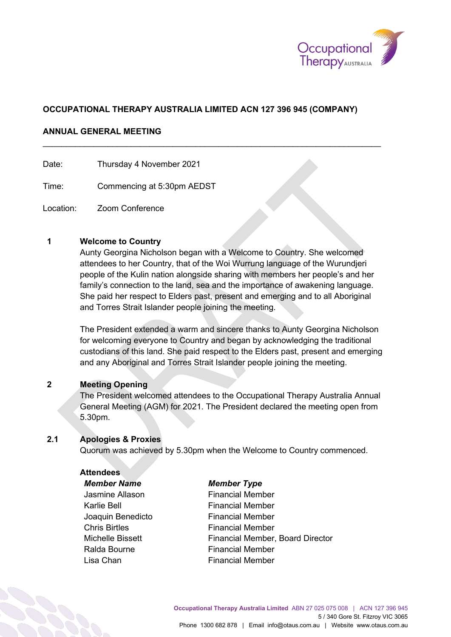

# **OCCUPATIONAL THERAPY AUSTRALIA LIMITED ACN 127 396 945 (COMPANY)**

\_\_\_\_\_\_\_\_\_\_\_\_\_\_\_\_\_\_\_\_\_\_\_\_\_\_\_\_\_\_\_\_\_\_\_\_\_\_\_\_\_\_\_\_\_\_\_\_\_\_\_\_\_\_\_\_\_\_\_\_\_\_\_\_\_\_\_\_\_\_\_\_\_

# **ANNUAL GENERAL MEETING**

Date: Thursday 4 November 2021

Time: Commencing at 5:30pm AEDST

Location: Zoom Conference

## **1 Welcome to Country**

Aunty Georgina Nicholson began with a Welcome to Country. She welcomed attendees to her Country, that of the Woi Wurrung language of the Wurundjeri people of the Kulin nation alongside sharing with members her people's and her family's connection to the land, sea and the importance of awakening language. She paid her respect to Elders past, present and emerging and to all Aboriginal and Torres Strait Islander people joining the meeting.

The President extended a warm and sincere thanks to Aunty Georgina Nicholson for welcoming everyone to Country and began by acknowledging the traditional custodians of this land. She paid respect to the Elders past, present and emerging and any Aboriginal and Torres Strait Islander people joining the meeting.

#### **2 Meeting Opening**

The President welcomed attendees to the Occupational Therapy Australia Annual General Meeting (AGM) for 2021. The President declared the meeting open from 5.30pm.

#### **2.1 Apologies & Proxies**

Quorum was achieved by 5.30pm when the Welcome to Country commenced.

#### **Attendees**

# *Member Name Member Type*

Karlie Bell **Karlie Bell Financial Member** Joaquin Benedicto Financial Member Chris Birtles **Financial Member** Ralda Bourne **Financial Member** Lisa Chan **Financial Member** 

Jasmine Allason Financial Member Michelle Bissett **Financial Member, Board Director**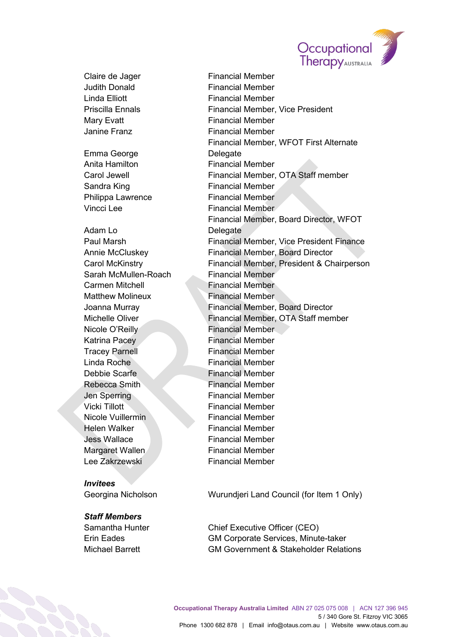

Claire de Jager Financial Member Judith Donald Financial Member Linda Elliott **Financial Member** Mary Evatt **Financial Member** Janine Franz **Financial Member** Emma George Anita Hamilton **Financial Member** Sandra King **Financial Member** Philippa Lawrence Financial Member Vincci Lee **Financial Member** Adam Lo Sarah McMullen-Roach Financial Member Carmen Mitchell **Einancial Member** Matthew Molineux **Financial Member** Nicole O'Reilly **Financial Member** Katrina Pacey **Financial Member** Tracey Parnell **Financial Member** Linda Roche **Financial Member** Debbie Scarfe Financial Member Rebecca Smith Financial Member Jen Sperring Financial Member Vicki Tillott **Financial Member** Nicole Vuillermin Financial Member **Helen Walker Communist Communist Person Financial Member** Jess Wallace Financial Member Margaret Wallen Financial Member Lee Zakrzewski eta erreferentzial Member

# *Invitees*

#### *Staff Members*

Priscilla Ennals Financial Member, Vice President Financial Member, WFOT First Alternate Delegate Carol Jewell Financial Member, OTA Staff member Financial Member, Board Director, WFOT **Delegate** Paul Marsh Financial Member, Vice President Finance Annie McCluskey Financial Member, Board Director Carol McKinstry Financial Member, President & Chairperson Joanna Murray Financial Member, Board Director Michelle Oliver **Financial Member, OTA Staff member** 

Georgina Nicholson Wurundjeri Land Council (for Item 1 Only)

Samantha Hunter Chief Executive Officer (CEO) Erin Eades GM Corporate Services, Minute-taker Michael Barrett GM Government & Stakeholder Relations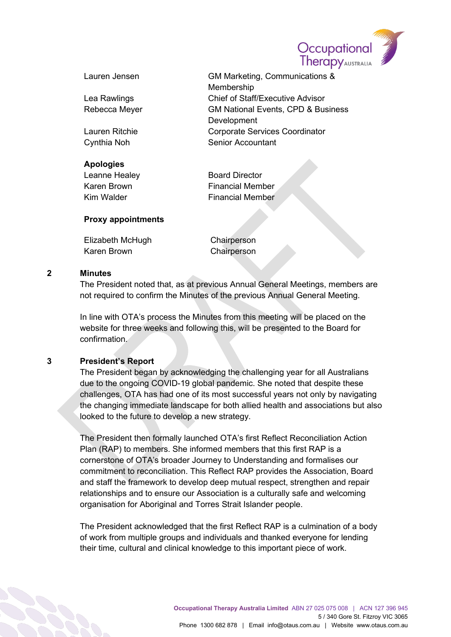

| Lauren Jensen |  |
|---------------|--|
| ea Rawlings   |  |
| Rebecca Meyer |  |

# **Apologies**

Lauren Jensen GM Marketing, Communications & Membership Lea Rawlings Chief of Staff/Executive Advisor Rebecca Meyer GM National Events, CPD & Business **Development** Lauren Ritchie Corporate Services Coordinator Cynthia Noh Senior Accountant

Leanne Healey Board Director Karen Brown **Financial Member** Kim Walder **Financial Member** 

# **Proxy appointments**

| Elizabeth McHugh | Chairperson |
|------------------|-------------|
| Karen Brown      | Chairperson |

## **2 Minutes**

The President noted that, as at previous Annual General Meetings, members are not required to confirm the Minutes of the previous Annual General Meeting.

In line with OTA's process the Minutes from this meeting will be placed on the website for three weeks and following this, will be presented to the Board for confirmation.

# **3 President's Report**

The President began by acknowledging the challenging year for all Australians due to the ongoing COVID-19 global pandemic. She noted that despite these challenges, OTA has had one of its most successful years not only by navigating the changing immediate landscape for both allied health and associations but also looked to the future to develop a new strategy.

The President then formally launched OTA's first Reflect Reconciliation Action Plan (RAP) to members. She informed members that this first RAP is a cornerstone of OTA's broader Journey to Understanding and formalises our commitment to reconciliation. This Reflect RAP provides the Association, Board and staff the framework to develop deep mutual respect, strengthen and repair relationships and to ensure our Association is a culturally safe and welcoming organisation for Aboriginal and Torres Strait Islander people.

The President acknowledged that the first Reflect RAP is a culmination of a body of work from multiple groups and individuals and thanked everyone for lending their time, cultural and clinical knowledge to this important piece of work.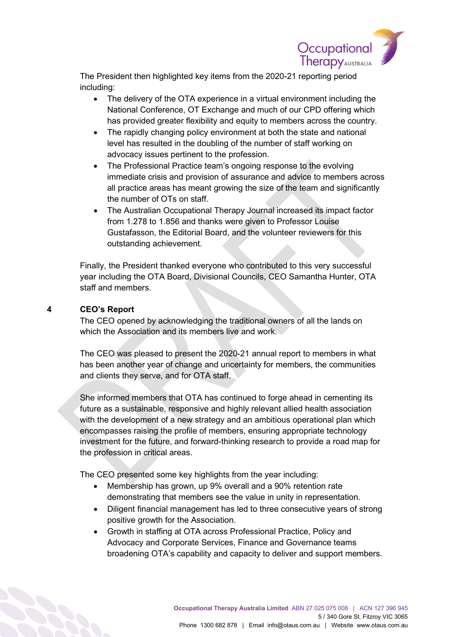

The President then highlighted key items from the 2020-21 reporting period including:

- The delivery of the OTA experience in a virtual environment including the National Conference, OT Exchange and much of our CPD offering which has provided greater flexibility and equity to members across the country.
- The rapidly changing policy environment at both the state and national level has resulted in the doubling of the number of staff working on advocacy issues pertinent to the profession.
- The Professional Practice team's ongoing response to the evolving immediate crisis and provision of assurance and advice to members across all practice areas has meant growing the size of the team and significantly the number of OTs on staff.
- The Australian Occupational Therapy Journal increased its impact factor from 1.278 to 1.856 and thanks were given to Professor Louise Gustafasson, the Editorial Board, and the volunteer reviewers for this outstanding achievement.

Finally, the President thanked everyone who contributed to this very successful year including the OTA Board, Divisional Councils, CEO Samantha Hunter, OTA staff and members.

# **4 CEO's Report**

The CEO opened by acknowledging the traditional owners of all the lands on which the Association and its members live and work.

The CEO was pleased to present the 2020-21 annual report to members in what has been another year of change and uncertainty for members, the communities and clients they serve, and for OTA staff.

She informed members that OTA has continued to forge ahead in cementing its future as a sustainable, responsive and highly relevant allied health association with the development of a new strategy and an ambitious operational plan which encompasses raising the profile of members, ensuring appropriate technology investment for the future, and forward-thinking research to provide a road map for the profession in critical areas.

The CEO presented some key highlights from the year including:

- Membership has grown, up 9% overall and a 90% retention rate demonstrating that members see the value in unity in representation.
- Diligent financial management has led to three consecutive years of strong positive growth for the Association.
- Growth in staffing at OTA across Professional Practice, Policy and Advocacy and Corporate Services, Finance and Governance teams broadening OTA's capability and capacity to deliver and support members.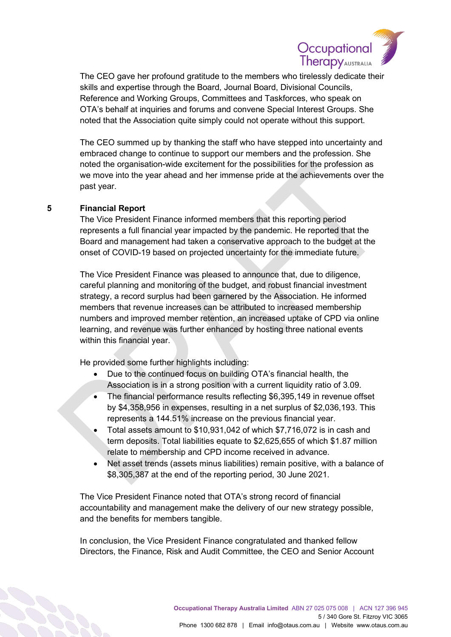

The CEO gave her profound gratitude to the members who tirelessly dedicate their skills and expertise through the Board, Journal Board, Divisional Councils, Reference and Working Groups, Committees and Taskforces, who speak on OTA's behalf at inquiries and forums and convene Special Interest Groups. She noted that the Association quite simply could not operate without this support.

The CEO summed up by thanking the staff who have stepped into uncertainty and embraced change to continue to support our members and the profession. She noted the organisation-wide excitement for the possibilities for the profession as we move into the year ahead and her immense pride at the achievements over the past year.

## **5 Financial Report**

The Vice President Finance informed members that this reporting period represents a full financial year impacted by the pandemic. He reported that the Board and management had taken a conservative approach to the budget at the onset of COVID-19 based on projected uncertainty for the immediate future.

The Vice President Finance was pleased to announce that, due to diligence, careful planning and monitoring of the budget, and robust financial investment strategy, a record surplus had been garnered by the Association. He informed members that revenue increases can be attributed to increased membership numbers and improved member retention, an increased uptake of CPD via online learning, and revenue was further enhanced by hosting three national events within this financial year.

He provided some further highlights including:

- Due to the continued focus on building OTA's financial health, the Association is in a strong position with a current liquidity ratio of 3.09.
- The financial performance results reflecting \$6,395,149 in revenue offset by \$4,358,956 in expenses, resulting in a net surplus of \$2,036,193. This represents a 144.51% increase on the previous financial year.
- Total assets amount to \$10,931,042 of which \$7,716,072 is in cash and term deposits. Total liabilities equate to \$2,625,655 of which \$1.87 million relate to membership and CPD income received in advance.
- Net asset trends (assets minus liabilities) remain positive, with a balance of \$8,305,387 at the end of the reporting period, 30 June 2021.

The Vice President Finance noted that OTA's strong record of financial accountability and management make the delivery of our new strategy possible, and the benefits for members tangible.

In conclusion, the Vice President Finance congratulated and thanked fellow Directors, the Finance, Risk and Audit Committee, the CEO and Senior Account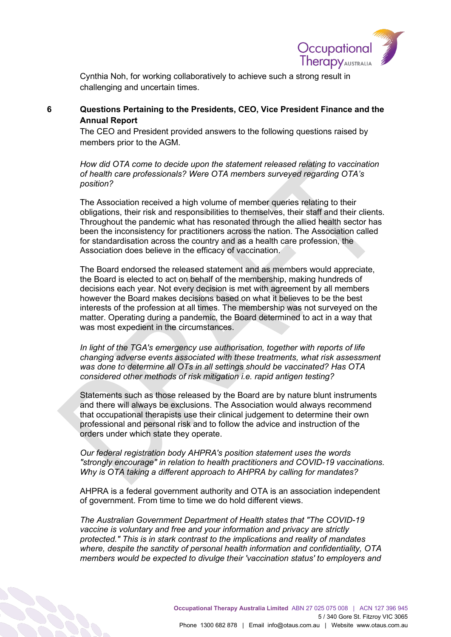

Cynthia Noh, for working collaboratively to achieve such a strong result in challenging and uncertain times.

# **6 Questions Pertaining to the Presidents, CEO, Vice President Finance and the Annual Report**

The CEO and President provided answers to the following questions raised by members prior to the AGM.

*How did OTA come to decide upon the statement released relating to vaccination of health care professionals? Were OTA members surveyed regarding OTA's position?*

The Association received a high volume of member queries relating to their obligations, their risk and responsibilities to themselves, their staff and their clients. Throughout the pandemic what has resonated through the allied health sector has been the inconsistency for practitioners across the nation. The Association called for standardisation across the country and as a health care profession, the Association does believe in the efficacy of vaccination.

The Board endorsed the released statement and as members would appreciate, the Board is elected to act on behalf of the membership, making hundreds of decisions each year. Not every decision is met with agreement by all members however the Board makes decisions based on what it believes to be the best interests of the profession at all times. The membership was not surveyed on the matter. Operating during a pandemic, the Board determined to act in a way that was most expedient in the circumstances.

*In light of the TGA's emergency use authorisation, together with reports of life changing adverse events associated with these treatments, what risk assessment was done to determine all OTs in all settings should be vaccinated? Has OTA considered other methods of risk mitigation i.e. rapid antigen testing?*

Statements such as those released by the Board are by nature blunt instruments and there will always be exclusions. The Association would always recommend that occupational therapists use their clinical judgement to determine their own professional and personal risk and to follow the advice and instruction of the orders under which state they operate.

*Our federal registration body AHPRA's position statement uses the words "strongly encourage" in relation to health practitioners and COVID-19 vaccinations. Why is OTA taking a different approach to AHPRA by calling for mandates?*

AHPRA is a federal government authority and OTA is an association independent of government. From time to time we do hold different views.

*The Australian Government Department of Health states that "The COVID-19 vaccine is voluntary and free and your information and privacy are strictly protected." This is in stark contrast to the implications and reality of mandates where, despite the sanctity of personal health information and confidentiality, OTA members would be expected to divulge their 'vaccination status' to employers and*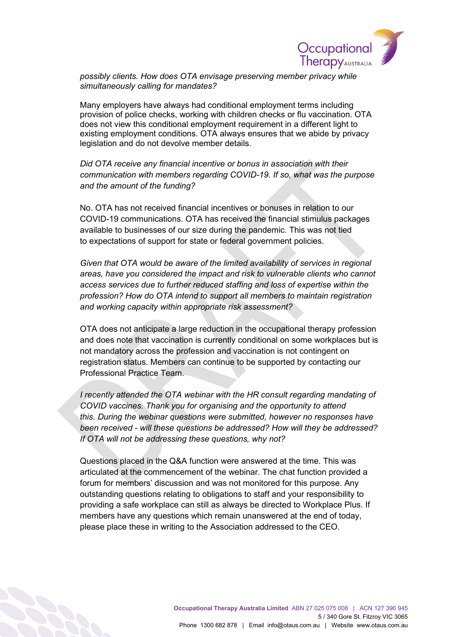

*possibly clients. How does OTA envisage preserving member privacy while simultaneously calling for mandates?*

Many employers have always had conditional employment terms including provision of police checks, working with children checks or flu vaccination. OTA does not view this conditional employment requirement in a different light to existing employment conditions. OTA always ensures that we abide by privacy legislation and do not devolve member details.

*Did OTA receive any financial incentive or bonus in association with their communication with members regarding COVID-19. If so, what was the purpose and the amount of the funding?*

No. OTA has not received financial incentives or bonuses in relation to our COVID-19 communications. OTA has received the financial stimulus packages available to businesses of our size during the pandemic. This was not tied to expectations of support for state or federal government policies.

*Given that OTA would be aware of the limited availability of services in regional areas, have you considered the impact and risk to vulnerable clients who cannot access services due to further reduced staffing and loss of expertise within the profession? How do OTA intend to support all members to maintain registration and working capacity within appropriate risk assessment?*

OTA does not anticipate a large reduction in the occupational therapy profession and does note that vaccination is currently conditional on some workplaces but is not mandatory across the profession and vaccination is not contingent on registration status. Members can continue to be supported by contacting our Professional Practice Team.

*I recently attended the OTA webinar with the HR consult regarding mandating of COVID vaccines. Thank you for organising and the opportunity to attend this. During the webinar questions were submitted, however no responses have been received - will these questions be addressed? How will they be addressed? If OTA will not be addressing these questions, why not?*

Questions placed in the Q&A function were answered at the time. This was articulated at the commencement of the webinar. The chat function provided a forum for members' discussion and was not monitored for this purpose. Any outstanding questions relating to obligations to staff and your responsibility to providing a safe workplace can still as always be directed to Workplace Plus. If members have any questions which remain unanswered at the end of today, please place these in writing to the Association addressed to the CEO.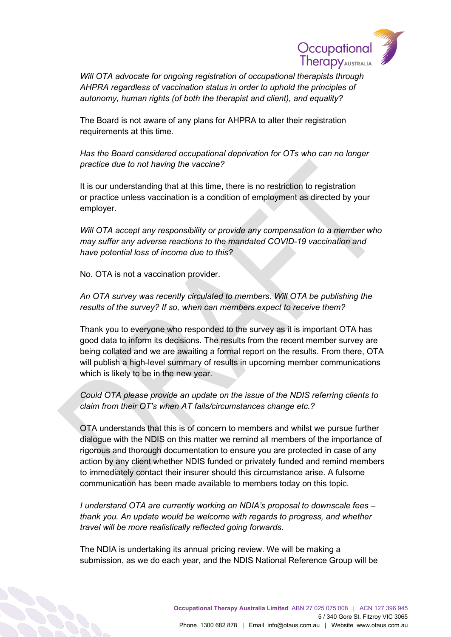

*Will OTA advocate for ongoing registration of occupational therapists through AHPRA regardless of vaccination status in order to uphold the principles of autonomy, human rights (of both the therapist and client), and equality?*

The Board is not aware of any plans for AHPRA to alter their registration requirements at this time.

*Has the Board considered occupational deprivation for OTs who can no longer practice due to not having the vaccine?*

It is our understanding that at this time, there is no restriction to registration or practice unless vaccination is a condition of employment as directed by your employer.

*Will OTA accept any responsibility or provide any compensation to a member who may suffer any adverse reactions to the mandated COVID-19 vaccination and have potential loss of income due to this?*

No. OTA is not a vaccination provider.

*An OTA survey was recently circulated to members. Will OTA be publishing the results of the survey? If so, when can members expect to receive them?*

Thank you to everyone who responded to the survey as it is important OTA has good data to inform its decisions. The results from the recent member survey are being collated and we are awaiting a formal report on the results. From there, OTA will publish a high-level summary of results in upcoming member communications which is likely to be in the new year.

*Could OTA please provide an update on the issue of the NDIS referring clients to claim from their OT's when AT fails/circumstances change etc.?*

OTA understands that this is of concern to members and whilst we pursue further dialogue with the NDIS on this matter we remind all members of the importance of rigorous and thorough documentation to ensure you are protected in case of any action by any client whether NDIS funded or privately funded and remind members to immediately contact their insurer should this circumstance arise. A fulsome communication has been made available to members today on this topic.

*I understand OTA are currently working on NDIA's proposal to downscale fees – thank you. An update would be welcome with regards to progress, and whether travel will be more realistically reflected going forwards.*

The NDIA is undertaking its annual pricing review. We will be making a submission, as we do each year, and the NDIS National Reference Group will be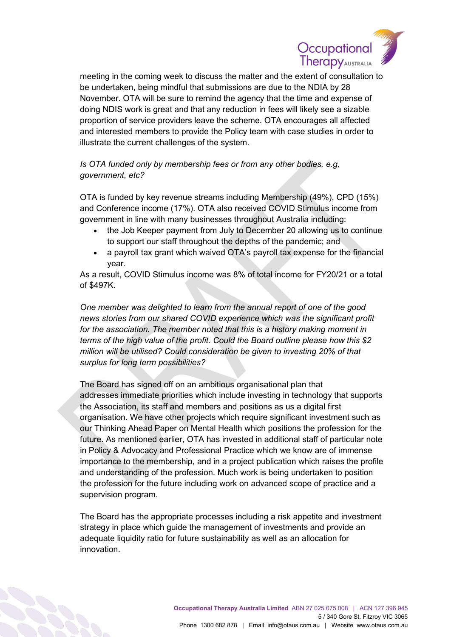

meeting in the coming week to discuss the matter and the extent of consultation to be undertaken, being mindful that submissions are due to the NDIA by 28 November. OTA will be sure to remind the agency that the time and expense of doing NDIS work is great and that any reduction in fees will likely see a sizable proportion of service providers leave the scheme. OTA encourages all affected and interested members to provide the Policy team with case studies in order to illustrate the current challenges of the system.

# *Is OTA funded only by membership fees or from any other bodies, e.g, government, etc?*

OTA is funded by key revenue streams including Membership (49%), CPD (15%) and Conference income (17%). OTA also received COVID Stimulus income from government in line with many businesses throughout Australia including:

- the Job Keeper payment from July to December 20 allowing us to continue to support our staff throughout the depths of the pandemic; and
- a payroll tax grant which waived OTA's payroll tax expense for the financial year.

As a result, COVID Stimulus income was 8% of total income for FY20/21 or a total of \$497K.

*One member was delighted to learn from the annual report of one of the good news stories from our shared COVID experience which was the significant profit for the association. The member noted that this is a history making moment in terms of the high value of the profit. Could the Board outline please how this \$2 million will be utilised? Could consideration be given to investing 20% of that surplus for long term possibilities?*

The Board has signed off on an ambitious organisational plan that addresses immediate priorities which include investing in technology that supports the Association, its staff and members and positions as us a digital first organisation. We have other projects which require significant investment such as our Thinking Ahead Paper on Mental Health which positions the profession for the future. As mentioned earlier, OTA has invested in additional staff of particular note in Policy & Advocacy and Professional Practice which we know are of immense importance to the membership, and in a project publication which raises the profile and understanding of the profession. Much work is being undertaken to position the profession for the future including work on advanced scope of practice and a supervision program.

The Board has the appropriate processes including a risk appetite and investment strategy in place which guide the management of investments and provide an adequate liquidity ratio for future sustainability as well as an allocation for innovation.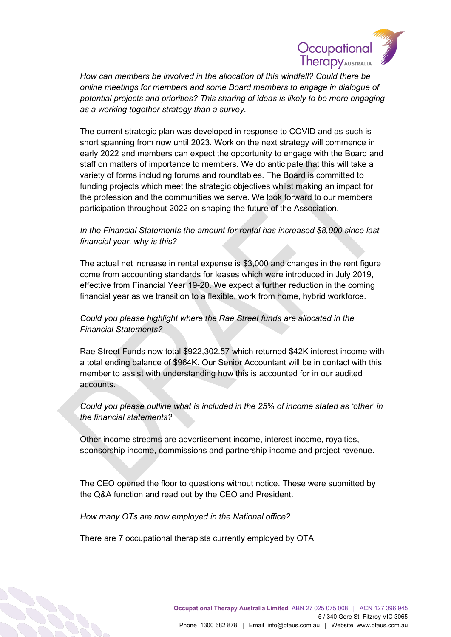

*How can members be involved in the allocation of this windfall? Could there be online meetings for members and some Board members to engage in dialogue of potential projects and priorities? This sharing of ideas is likely to be more engaging as a working together strategy than a survey.*

The current strategic plan was developed in response to COVID and as such is short spanning from now until 2023. Work on the next strategy will commence in early 2022 and members can expect the opportunity to engage with the Board and staff on matters of importance to members. We do anticipate that this will take a variety of forms including forums and roundtables. The Board is committed to funding projects which meet the strategic objectives whilst making an impact for the profession and the communities we serve. We look forward to our members participation throughout 2022 on shaping the future of the Association.

# *In the Financial Statements the amount for rental has increased \$8,000 since last financial year, why is this?*

The actual net increase in rental expense is \$3,000 and changes in the rent figure come from accounting standards for leases which were introduced in July 2019, effective from Financial Year 19-20. We expect a further reduction in the coming financial year as we transition to a flexible, work from home, hybrid workforce.

# *Could you please highlight where the Rae Street funds are allocated in the Financial Statements?*

Rae Street Funds now total \$922,302.57 which returned \$42K interest income with a total ending balance of \$964K. Our Senior Accountant will be in contact with this member to assist with understanding how this is accounted for in our audited accounts.

# *Could you please outline what is included in the 25% of income stated as 'other' in the financial statements?*

Other income streams are advertisement income, interest income, royalties, sponsorship income, commissions and partnership income and project revenue.

The CEO opened the floor to questions without notice. These were submitted by the Q&A function and read out by the CEO and President.

*How many OTs are now employed in the National office?*

There are 7 occupational therapists currently employed by OTA.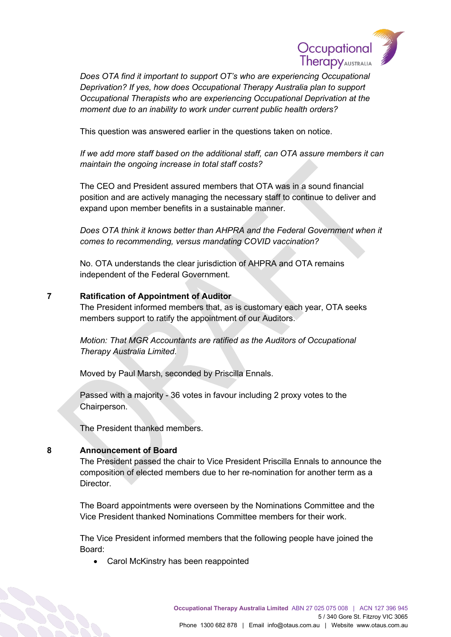

*Does OTA find it important to support OT's who are experiencing Occupational Deprivation? If yes, how does Occupational Therapy Australia plan to support Occupational Therapists who are experiencing Occupational Deprivation at the moment due to an inability to work under current public health orders?*

This question was answered earlier in the questions taken on notice.

*If we add more staff based on the additional staff, can OTA assure members it can maintain the ongoing increase in total staff costs?*

The CEO and President assured members that OTA was in a sound financial position and are actively managing the necessary staff to continue to deliver and expand upon member benefits in a sustainable manner.

*Does OTA think it knows better than AHPRA and the Federal Government when it comes to recommending, versus mandating COVID vaccination?*

No. OTA understands the clear jurisdiction of AHPRA and OTA remains independent of the Federal Government.

## **7 Ratification of Appointment of Auditor**

The President informed members that, as is customary each year, OTA seeks members support to ratify the appointment of our Auditors.

*Motion: That MGR Accountants are ratified as the Auditors of Occupational Therapy Australia Limited*.

Moved by Paul Marsh, seconded by Priscilla Ennals.

Passed with a majority - 36 votes in favour including 2 proxy votes to the Chairperson.

The President thanked members.

## **8 Announcement of Board**

The President passed the chair to Vice President Priscilla Ennals to announce the composition of elected members due to her re-nomination for another term as a Director.

The Board appointments were overseen by the Nominations Committee and the Vice President thanked Nominations Committee members for their work.

The Vice President informed members that the following people have joined the Board:

• Carol McKinstry has been reappointed